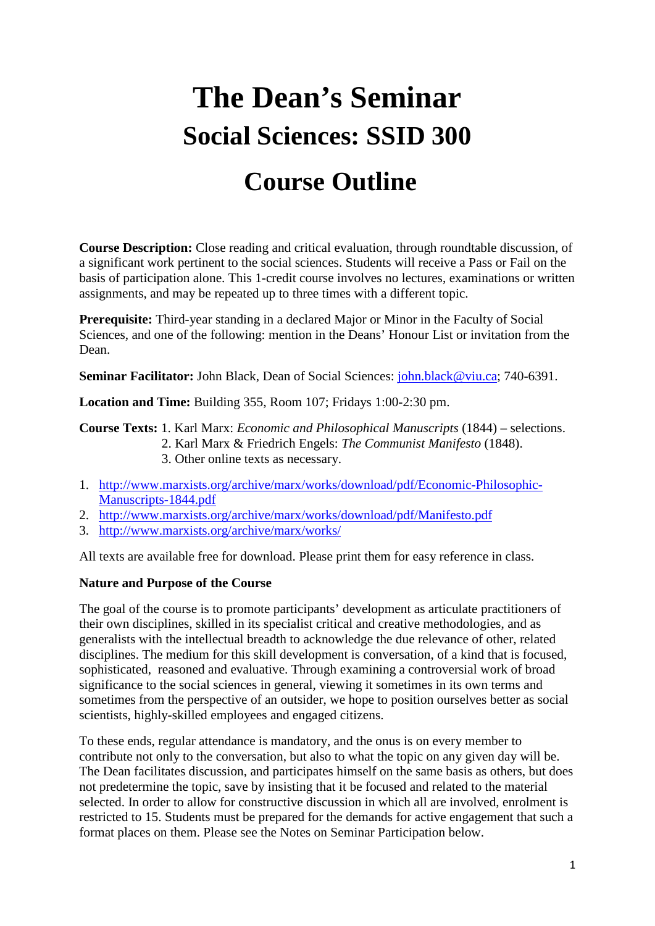# **The Dean's Seminar Social Sciences: SSID 300**

# **Course Outline**

**Course Description:** Close reading and critical evaluation, through roundtable discussion, of a significant work pertinent to the social sciences. Students will receive a Pass or Fail on the basis of participation alone. This 1-credit course involves no lectures, examinations or written assignments, and may be repeated up to three times with a different topic.

**Prerequisite:** Third-year standing in a declared Major or Minor in the Faculty of Social Sciences, and one of the following: mention in the Deans' Honour List or invitation from the Dean.

Seminar Facilitator: John Black, Dean of Social Sciences: [john.black@viu.ca;](mailto:john.black@viu.ca) 740-6391.

**Location and Time:** Building 355, Room 107; Fridays 1:00-2:30 pm.

**Course Texts:** 1. Karl Marx: *Economic and Philosophical Manuscripts* (1844) – selections.

- 2. Karl Marx & Friedrich Engels: *The Communist Manifesto* (1848).
	- 3. Other online texts as necessary.
- 1. [http://www.marxists.org/archive/marx/works/download/pdf/Economic-Philosophic-](http://www.marxists.org/archive/marx/works/download/pdf/Economic-Philosophic-Manuscripts-1844.pdf)[Manuscripts-1844.pdf](http://www.marxists.org/archive/marx/works/download/pdf/Economic-Philosophic-Manuscripts-1844.pdf)
- 2. <http://www.marxists.org/archive/marx/works/download/pdf/Manifesto.pdf>
- 3. <http://www.marxists.org/archive/marx/works/>

All texts are available free for download. Please print them for easy reference in class.

# **Nature and Purpose of the Course**

The goal of the course is to promote participants' development as articulate practitioners of their own disciplines, skilled in its specialist critical and creative methodologies, and as generalists with the intellectual breadth to acknowledge the due relevance of other, related disciplines. The medium for this skill development is conversation, of a kind that is focused, sophisticated, reasoned and evaluative. Through examining a controversial work of broad significance to the social sciences in general, viewing it sometimes in its own terms and sometimes from the perspective of an outsider, we hope to position ourselves better as social scientists, highly-skilled employees and engaged citizens.

To these ends, regular attendance is mandatory, and the onus is on every member to contribute not only to the conversation, but also to what the topic on any given day will be. The Dean facilitates discussion, and participates himself on the same basis as others, but does not predetermine the topic, save by insisting that it be focused and related to the material selected. In order to allow for constructive discussion in which all are involved, enrolment is restricted to 15. Students must be prepared for the demands for active engagement that such a format places on them. Please see the Notes on Seminar Participation below.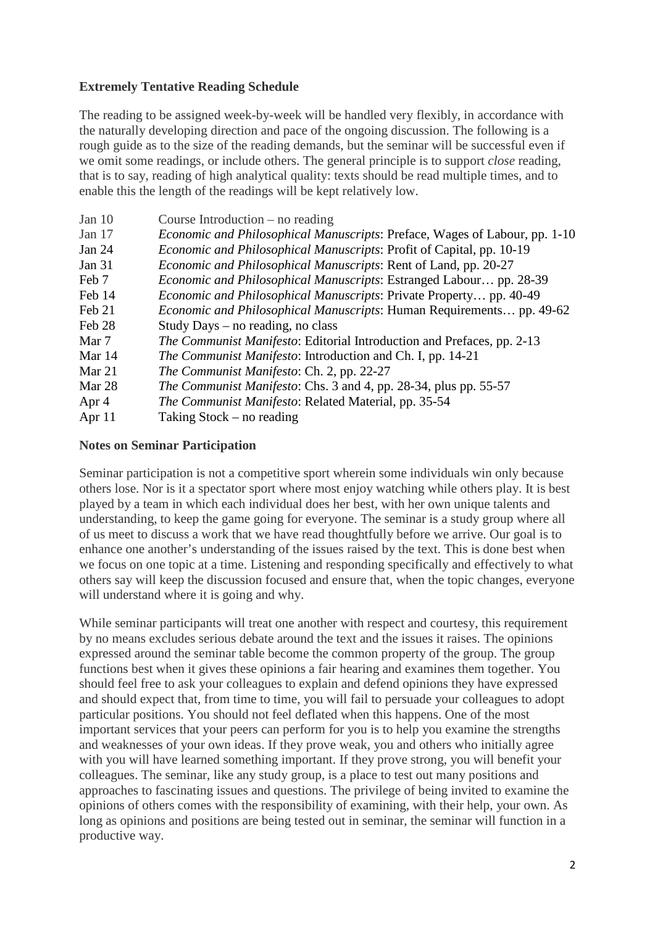# **Extremely Tentative Reading Schedule**

The reading to be assigned week-by-week will be handled very flexibly, in accordance with the naturally developing direction and pace of the ongoing discussion. The following is a rough guide as to the size of the reading demands, but the seminar will be successful even if we omit some readings, or include others. The general principle is to support *close* reading, that is to say, reading of high analytical quality: texts should be read multiple times, and to enable this the length of the readings will be kept relatively low.

| Jan 10        | Course Introduction $-$ no reading                                                |
|---------------|-----------------------------------------------------------------------------------|
| Jan $17$      | <i>Economic and Philosophical Manuscripts: Preface, Wages of Labour, pp. 1-10</i> |
| <b>Jan 24</b> | Economic and Philosophical Manuscripts: Profit of Capital, pp. 10-19              |
| <b>Jan 31</b> | <i>Economic and Philosophical Manuscripts: Rent of Land, pp. 20-27</i>            |
| Feb 7         | <i>Economic and Philosophical Manuscripts: Estranged Labour pp. 28-39</i>         |
| Feb 14        | <i>Economic and Philosophical Manuscripts: Private Property pp. 40-49</i>         |
| Feb 21        | <i>Economic and Philosophical Manuscripts: Human Requirements pp. 49-62</i>       |
| Feb 28        | Study Days – no reading, no class                                                 |
| Mar 7         | <i>The Communist Manifesto:</i> Editorial Introduction and Prefaces, pp. 2-13     |
| Mar 14        | The Communist Manifesto: Introduction and Ch. I, pp. 14-21                        |
| Mar $21$      | The Communist Manifesto: Ch. 2, pp. 22-27                                         |
| Mar 28        | The Communist Manifesto: Chs. 3 and 4, pp. 28-34, plus pp. 55-57                  |
| Apr 4         | The Communist Manifesto: Related Material, pp. 35-54                              |
| Apr 11        | Taking $Stock - no reading$                                                       |
|               |                                                                                   |

#### **Notes on Seminar Participation**

Seminar participation is not a competitive sport wherein some individuals win only because others lose. Nor is it a spectator sport where most enjoy watching while others play. It is best played by a team in which each individual does her best, with her own unique talents and understanding, to keep the game going for everyone. The seminar is a study group where all of us meet to discuss a work that we have read thoughtfully before we arrive. Our goal is to enhance one another's understanding of the issues raised by the text. This is done best when we focus on one topic at a time. Listening and responding specifically and effectively to what others say will keep the discussion focused and ensure that, when the topic changes, everyone will understand where it is going and why.

While seminar participants will treat one another with respect and courtesy, this requirement by no means excludes serious debate around the text and the issues it raises. The opinions expressed around the seminar table become the common property of the group. The group functions best when it gives these opinions a fair hearing and examines them together. You should feel free to ask your colleagues to explain and defend opinions they have expressed and should expect that, from time to time, you will fail to persuade your colleagues to adopt particular positions. You should not feel deflated when this happens. One of the most important services that your peers can perform for you is to help you examine the strengths and weaknesses of your own ideas. If they prove weak, you and others who initially agree with you will have learned something important. If they prove strong, you will benefit your colleagues. The seminar, like any study group, is a place to test out many positions and approaches to fascinating issues and questions. The privilege of being invited to examine the opinions of others comes with the responsibility of examining, with their help, your own. As long as opinions and positions are being tested out in seminar, the seminar will function in a productive way.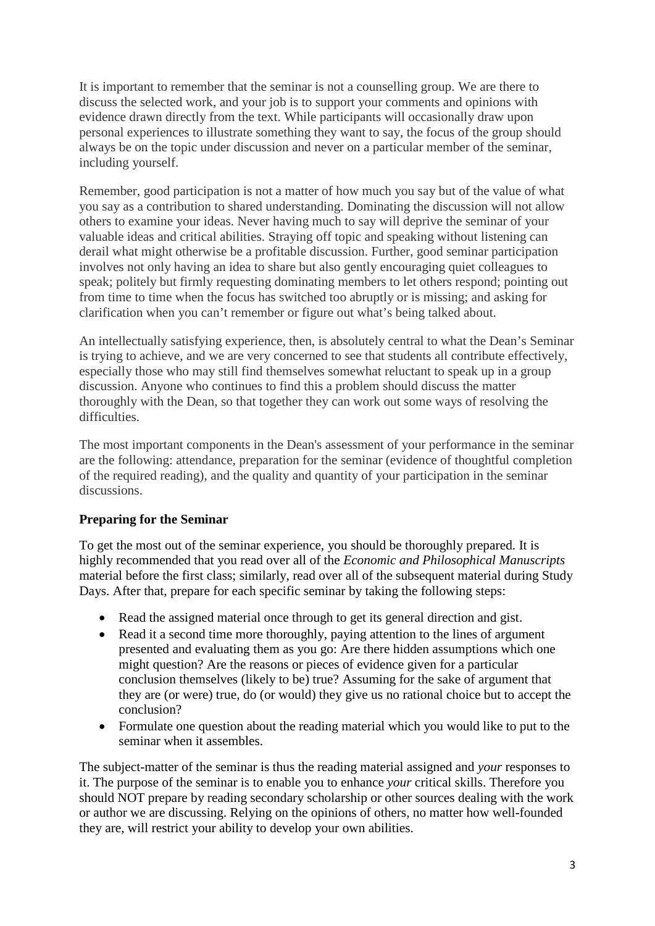It is important to remember that the seminar is not a counselling group. We are there to discuss the selected work, and your job is to support your comments and opinions with evidence drawn directly from the text. While participants will occasionally draw upon personal experiences to illustrate something they want to say, the focus of the group should always be on the topic under discussion and never on a particular member of the seminar, including yourself.

Remember, good participation is not a matter of how much you say but of the value of what you say as a contribution to shared understanding. Dominating the discussion will not allow others to examine your ideas. Never having much to say will deprive the seminar of your valuable ideas and critical abilities. Straying off topic and speaking without listening can derail what might otherwise be a profitable discussion. Further, good seminar participation involves not only having an idea to share but also gently encouraging quiet colleagues to speak; politely but firmly requesting dominating members to let others respond; pointing out from time to time when the focus has switched too abruptly or is missing; and asking for clarification when you can't remember or figure out what's being talked about.

An intellectually satisfying experience, then, is absolutely central to what the Dean's Seminar is trying to achieve, and we are very concerned to see that students all contribute effectively, especially those who may still find themselves somewhat reluctant to speak up in a group discussion. Anyone who continues to find this a problem should discuss the matter thoroughly with the Dean, so that together they can work out some ways of resolving the difficulties.

The most important components in the Dean's assessment of your performance in the seminar are the following: attendance, preparation for the seminar (evidence of thoughtful completion of the required reading), and the quality and quantity of your participation in the seminar discussions.

# **Preparing for the Seminar**

To get the most out of the seminar experience, you should be thoroughly prepared. It is highly recommended that you read over all of the *Economic and Philosophical Manuscripts* material before the first class; similarly, read over all of the subsequent material during Study Days. After that, prepare for each specific seminar by taking the following steps:

- Read the assigned material once through to get its general direction and gist.
- Read it a second time more thoroughly, paying attention to the lines of argument presented and evaluating them as you go: Are there hidden assumptions which one might question? Are the reasons or pieces of evidence given for a particular conclusion themselves (likely to be) true? Assuming for the sake of argument that they are (or were) true, do (or would) they give us no rational choice but to accept the conclusion?
- Formulate one question about the reading material which you would like to put to the seminar when it assembles.

The subject-matter of the seminar is thus the reading material assigned and *your* responses to it. The purpose of the seminar is to enable you to enhance *your* critical skills. Therefore you should NOT prepare by reading secondary scholarship or other sources dealing with the work or author we are discussing. Relying on the opinions of others, no matter how well-founded they are, will restrict your ability to develop your own abilities.